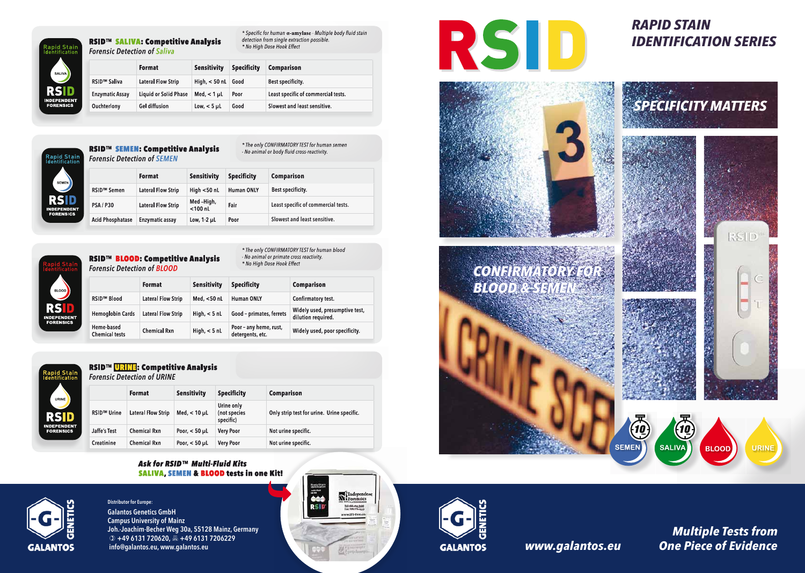

### RSID™ SALIVA: Competitive Analysis **Forensic Detection of Saliva**

\* Specific for human a-amylase - Multiple body fluid stain detection from single extraction possible. \* No High Dose Hook Effect

|                                | <b>Format</b>                | <b>Sensitivity</b> | <b>Specificity</b> | <b>Comparison</b>                   |
|--------------------------------|------------------------------|--------------------|--------------------|-------------------------------------|
| <b>RSID<sup>™</sup> Saliva</b> | <b>Lateral Flow Strip</b>    | High, $<$ 50 nL    | Good               | Best specificity.                   |
| <b>Enzymatic Assay</b>         | <b>Liquid or Solid Phase</b> | Med, $<$ 1 $\mu$ L | Poor               | Least specific of commercial tests. |
| <b>Ouchterlony</b>             | <b>Gel diffusion</b>         | Low, $<$ 5 $\mu$ L | Good               | Slowest and least sensitive.        |



\* The only CONFIRMATORY TEST for human semen

 *Multiple Tests from www.galantos.eu One Piece of Evidence*



| <b>Rapid Stain</b><br>Identification | <i>- NO allillal of body hard cross-reactivity.</i><br><b>Forensic Detection of SEMEN</b> |                           |                         |                    |                                     |
|--------------------------------------|-------------------------------------------------------------------------------------------|---------------------------|-------------------------|--------------------|-------------------------------------|
| <b>SEMEN</b>                         |                                                                                           | <b>Format</b>             | <b>Sensitivity</b>      | <b>Specificity</b> | <b>Comparison</b>                   |
|                                      | RSID™ Semen                                                                               | <b>Lateral Flow Strip</b> | High $<$ 50 nL          | <b>Human ONLY</b>  | Best specificity.                   |
| <b>RSID</b><br><b>INDEPENDENT</b>    | <b>PSA/P30</b>                                                                            | <b>Lateral Flow Strip</b> | Med-High,<br>$<$ 100 nL | Fair               | Least specific of commercial tests. |
| <b>FORENSICS</b>                     | <b>Acid Phosphatase</b>                                                                   | Enzymatic assay           | Low, $1-2$ $\mu$ L      | Poor               | Slowest and least sensitive.        |



### RSID<sup>™</sup> BLOOD: Competitive Analysis **Forensic Detection of BLOOD**

\* The only CONFIRMATORY TEST for human blood - No animal or primate cross reactivity. \* No High Dose Hook Effect

|                                     | <b>Format</b>             | Sensitivity    | <b>Specificity</b>                         | <b>Comparison</b>                                    |
|-------------------------------------|---------------------------|----------------|--------------------------------------------|------------------------------------------------------|
| <b>RSID™ Blood</b>                  | Lateral Flow Strip        | Med, $<$ 50 nL | <b>Human ONLY</b>                          | Confirmatory test.                                   |
| <b>Hemoglobin Cards</b>             | <b>Lateral Flow Strip</b> | High, $<$ 5 nL | Good - primates, ferrets                   | Widely used, presumptive test,<br>dilution required. |
| Heme-based<br><b>Chemical tests</b> | <b>Chemical Rxn</b>       | High, $<$ 5 nL | Poor - any heme, rust,<br>detergents, etc. | Widely used, poor specificity.                       |



## RSID™ URINE: Competitive Analysis

**Forensic Detection of URINE** 

|                    | <b>Format</b>             | <b>Sensitivity</b>   | <b>Specificity</b>                      | <b>Comparison</b>                          |
|--------------------|---------------------------|----------------------|-----------------------------------------|--------------------------------------------|
| <b>RSID™ Urine</b> | <b>Lateral Flow Strip</b> | Med, $< 10$ µL       | Urine only<br>(not species<br>specific) | Only strip test for urine. Urine specific. |
| Jaffe's Test       | <b>Chemical Rxn</b>       | Poor, $<$ 50 $\mu$ L | <b>Very Poor</b>                        | Not urine specific.                        |
| Creatinine         | <b>Chemical Rxn</b>       | Poor, $<$ 50 $\mu$ L | <b>Very Poor</b>                        | Not urine specific.                        |

### Ask for RSID™ Multi-Fluid Kits SALIVA, SEMEN & BLOOD tests in one Kit!



Galantos Genetics GmbH Campus University of Mainz Joh.-Joachim-Becher Weg 30a, 55128 Mainz, Germany  $\circ$  +49 6131 720620,  $\mathbb{E}_{+}$  +49 6131 7206229 info@galantos.eu, www.galantos.eu Distributor for Europe:







# *RAPID STAIN IDENTIFICATION SERIES*